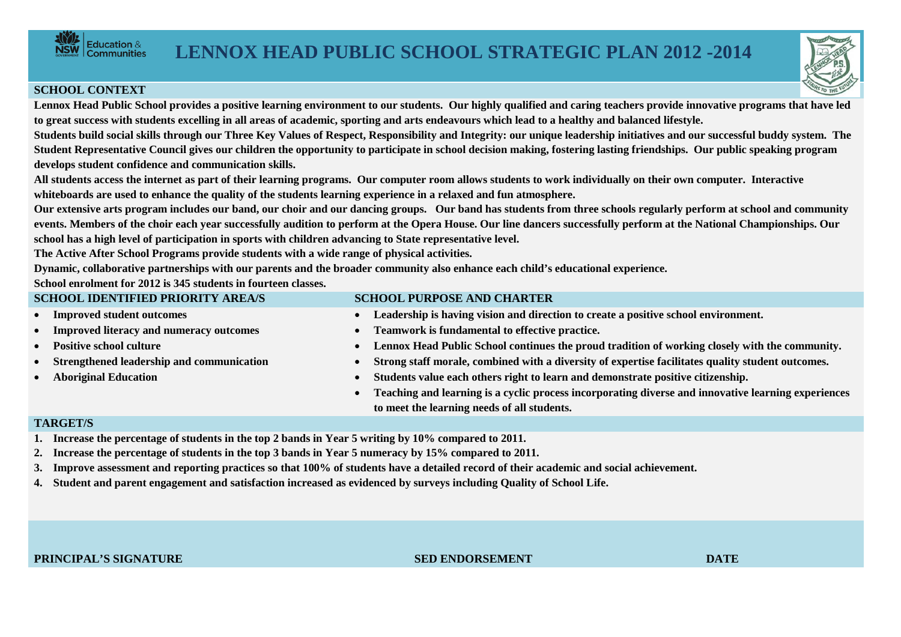

## **SCHOOL CONTEXT**

**Lennox Head Public School provides a positive learning environment to our students. Our highly qualified and caring teachers provide innovative programs that have led to great success with students excelling in all areas of academic, sporting and arts endeavours which lead to a healthy and balanced lifestyle.**

**Students build social skills through our Three Key Values of Respect, Responsibility and Integrity: our unique leadership initiatives and our successful buddy system. The Student Representative Council gives our children the opportunity to participate in school decision making, fostering lasting friendships. Our public speaking program develops student confidence and communication skills.**

**All students access the internet as part of their learning programs. Our computer room allows students to work individually on their own computer. Interactive whiteboards are used to enhance the quality of the students learning experience in a relaxed and fun atmosphere.**

**Our extensive arts program includes our band, our choir and our dancing groups. Our band has students from three schools regularly perform at school and community events. Members of the choir each year successfully audition to perform at the Opera House. Our line dancers successfully perform at the National Championships. Our school has a high level of participation in sports with children advancing to State representative level.** 

**The Active After School Programs provide students with a wide range of physical activities.**

**Dynamic, collaborative partnerships with our parents and the broader community also enhance each child's educational experience.** 

**School enrolment for 2012 is 345 students in fourteen classes.**

| <b>SCHOOL IDENTIFIED PRIORITY AREA/S</b>                                                              |           | <b>SCHOOL PURPOSE AND CHARTER</b>                                                                   |  |  |  |  |
|-------------------------------------------------------------------------------------------------------|-----------|-----------------------------------------------------------------------------------------------------|--|--|--|--|
| • Improved student outcomes                                                                           | $\bullet$ | Leadership is having vision and direction to create a positive school environment.                  |  |  |  |  |
| • Improved literacy and numeracy outcomes                                                             | $\bullet$ | Teamwork is fundamental to effective practice.                                                      |  |  |  |  |
| • Positive school culture                                                                             | $\bullet$ | Lennox Head Public School continues the proud tradition of working closely with the community.      |  |  |  |  |
| • Strengthened leadership and communication                                                           | $\bullet$ | Strong staff morale, combined with a diversity of expertise facilitates quality student outcomes.   |  |  |  |  |
| • Aboriginal Education                                                                                | $\bullet$ | Students value each others right to learn and demonstrate positive citizenship.                     |  |  |  |  |
|                                                                                                       | $\bullet$ | Teaching and learning is a cyclic process incorporating diverse and innovative learning experiences |  |  |  |  |
|                                                                                                       |           | to meet the learning needs of all students.                                                         |  |  |  |  |
| <b>TARGET/S</b>                                                                                       |           |                                                                                                     |  |  |  |  |
| 1. Increase the percentage of students in the top 2 bands in Year 5 writing by 10% compared to 2011.  |           |                                                                                                     |  |  |  |  |
| 2. Increase the percentage of students in the top 3 bands in Year 5 numeracy by 15% compared to 2011. |           |                                                                                                     |  |  |  |  |

- **3. Improve assessment and reporting practices so that 100% of students have a detailed record of their academic and social achievement.**
- **4. Student and parent engagement and satisfaction increased as evidenced by surveys including Quality of School Life.**

**PRINCIPAL'S SIGNATURE SED ENDORSEMENT DATE**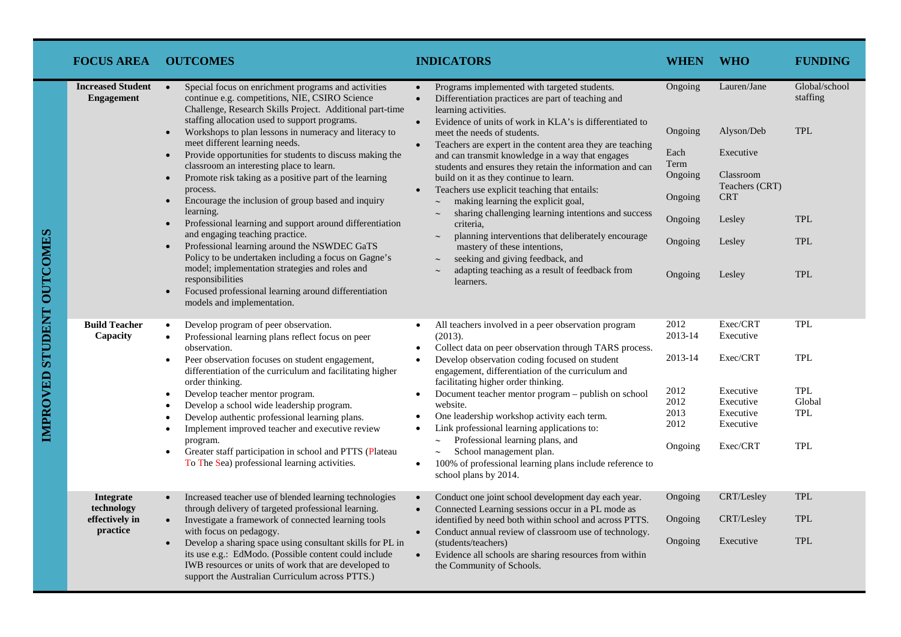| <b>FOCUS AREA</b>                                     | <b>OUTCOMES</b>                                                                                                                                                                                                                                                                                                                                                                                                                                                                                                                                                                                                    | <b>INDICATORS</b>                                                                                                                                                                                                                                                                                                                                                                                                                                                                                                                                                                                            | WHEN                                                                  | <b>WHO</b>                                                                                        | <b>FUNDING</b>                                          |
|-------------------------------------------------------|--------------------------------------------------------------------------------------------------------------------------------------------------------------------------------------------------------------------------------------------------------------------------------------------------------------------------------------------------------------------------------------------------------------------------------------------------------------------------------------------------------------------------------------------------------------------------------------------------------------------|--------------------------------------------------------------------------------------------------------------------------------------------------------------------------------------------------------------------------------------------------------------------------------------------------------------------------------------------------------------------------------------------------------------------------------------------------------------------------------------------------------------------------------------------------------------------------------------------------------------|-----------------------------------------------------------------------|---------------------------------------------------------------------------------------------------|---------------------------------------------------------|
| <b>Increased Student</b><br><b>Engagement</b>         | Special focus on enrichment programs and activities<br>$\bullet$<br>continue e.g. competitions, NIE, CSIRO Science<br>Challenge, Research Skills Project. Additional part-time<br>staffing allocation used to support programs.<br>Workshops to plan lessons in numeracy and literacy to<br>$\bullet$<br>meet different learning needs.<br>Provide opportunities for students to discuss making the<br>$\bullet$<br>classroom an interesting place to learn.<br>Promote risk taking as a positive part of the learning<br>$\bullet$<br>process.<br>Encourage the inclusion of group based and inquiry<br>$\bullet$ | Programs implemented with targeted students.<br>$\bullet$<br>Differentiation practices are part of teaching and<br>$\bullet$<br>learning activities.<br>Evidence of units of work in KLA's is differentiated to<br>$\bullet$<br>meet the needs of students.<br>Teachers are expert in the content area they are teaching<br>$\bullet$<br>and can transmit knowledge in a way that engages<br>students and ensures they retain the information and can<br>build on it as they continue to learn.<br>Teachers use explicit teaching that entails:<br>$\bullet$<br>making learning the explicit goal,<br>$\sim$ | Ongoing<br>Ongoing<br>Each<br>Term<br>Ongoing<br>Ongoing              | Lauren/Jane<br>Alyson/Deb<br>Executive<br>Classroom<br>Teachers (CRT)<br><b>CRT</b>               | Global/school<br>staffing<br><b>TPL</b>                 |
|                                                       | learning.<br>Professional learning and support around differentiation<br>$\bullet$<br>and engaging teaching practice.<br>Professional learning around the NSWDEC GaTS<br>$\bullet$<br>Policy to be undertaken including a focus on Gagne's                                                                                                                                                                                                                                                                                                                                                                         | sharing challenging learning intentions and success<br>criteria.<br>planning interventions that deliberately encourage<br>$\sim$<br>mastery of these intentions,<br>seeking and giving feedback, and                                                                                                                                                                                                                                                                                                                                                                                                         | Ongoing<br>Ongoing                                                    | Lesley<br>Lesley                                                                                  | <b>TPL</b><br><b>TPL</b>                                |
|                                                       | model; implementation strategies and roles and<br>responsibilities<br>Focused professional learning around differentiation<br>$\bullet$<br>models and implementation.                                                                                                                                                                                                                                                                                                                                                                                                                                              | adapting teaching as a result of feedback from<br>learners.                                                                                                                                                                                                                                                                                                                                                                                                                                                                                                                                                  | Ongoing                                                               | Lesley                                                                                            | <b>TPL</b>                                              |
| <b>Build Teacher</b><br>Capacity                      | Develop program of peer observation.<br>$\bullet$<br>Professional learning plans reflect focus on peer<br>$\bullet$<br>observation.<br>Peer observation focuses on student engagement,<br>$\bullet$<br>differentiation of the curriculum and facilitating higher<br>order thinking.<br>Develop teacher mentor program.<br>$\bullet$<br>Develop a school wide leadership program.<br>$\bullet$<br>Develop authentic professional learning plans.<br>Implement improved teacher and executive review<br>$\bullet$<br>program.<br>Greater staff participation in school and PTTS (Plateau<br>$\bullet$                | All teachers involved in a peer observation program<br>$\bullet$<br>(2013).<br>Collect data on peer observation through TARS process.<br>$\bullet$<br>Develop observation coding focused on student<br>$\bullet$<br>engagement, differentiation of the curriculum and<br>facilitating higher order thinking.<br>Document teacher mentor program - publish on school<br>$\bullet$<br>website.<br>One leadership workshop activity each term.<br>$\bullet$<br>Link professional learning applications to:<br>$\bullet$<br>Professional learning plans, and<br>$\sim$<br>School management plan.<br>$\sim$      | 2012<br>2013-14<br>2013-14<br>2012<br>2012<br>2013<br>2012<br>Ongoing | Exec/CRT<br>Executive<br>Exec/CRT<br>Executive<br>Executive<br>Executive<br>Executive<br>Exec/CRT | <b>TPL</b><br>TPL<br>TPL<br>Global<br><b>TPL</b><br>TPL |
|                                                       | To The Sea) professional learning activities.                                                                                                                                                                                                                                                                                                                                                                                                                                                                                                                                                                      | 100% of professional learning plans include reference to<br>$\bullet$<br>school plans by 2014.                                                                                                                                                                                                                                                                                                                                                                                                                                                                                                               |                                                                       |                                                                                                   |                                                         |
| Integrate<br>technology<br>effectively in<br>practice | Increased teacher use of blended learning technologies<br>$\bullet$<br>through delivery of targeted professional learning.<br>Investigate a framework of connected learning tools<br>$\bullet$<br>with focus on pedagogy.<br>Develop a sharing space using consultant skills for PL in<br>$\bullet$<br>its use e.g.: EdModo. (Possible content could include<br>IWB resources or units of work that are developed to                                                                                                                                                                                               | Conduct one joint school development day each year.<br>$\bullet$<br>Connected Learning sessions occur in a PL mode as<br>$\bullet$<br>identified by need both within school and across PTTS.<br>Conduct annual review of classroom use of technology.<br>$\bullet$<br>(students/teachers)<br>Evidence all schools are sharing resources from within<br>$\bullet$<br>the Community of Schools.                                                                                                                                                                                                                | Ongoing<br>Ongoing<br>Ongoing                                         | CRT/Lesley<br>CRT/Lesley<br>Executive                                                             | <b>TPL</b><br><b>TPL</b><br><b>TPL</b>                  |
|                                                       | support the Australian Curriculum across PTTS.)                                                                                                                                                                                                                                                                                                                                                                                                                                                                                                                                                                    |                                                                                                                                                                                                                                                                                                                                                                                                                                                                                                                                                                                                              |                                                                       |                                                                                                   |                                                         |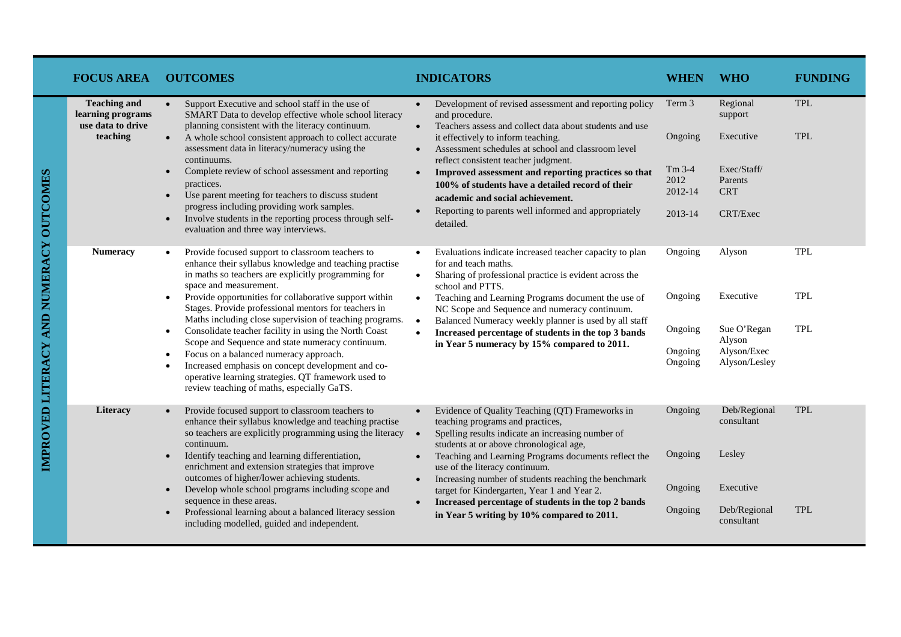| <b>FOCUS AREA</b>                                                         | <b>OUTCOMES</b>                                                                                                                                                                                                                                                                                                                                                                                                                                                                                                                                                                                                                                                                                                                               | <b>INDICATORS</b>                                                                                                                                                                                                                                                                                                                                                                                                                                                                                                                                            | <b>WHEN</b>                                                 | <b>WHO</b>                                                                           | <b>FUNDING</b>                         |
|---------------------------------------------------------------------------|-----------------------------------------------------------------------------------------------------------------------------------------------------------------------------------------------------------------------------------------------------------------------------------------------------------------------------------------------------------------------------------------------------------------------------------------------------------------------------------------------------------------------------------------------------------------------------------------------------------------------------------------------------------------------------------------------------------------------------------------------|--------------------------------------------------------------------------------------------------------------------------------------------------------------------------------------------------------------------------------------------------------------------------------------------------------------------------------------------------------------------------------------------------------------------------------------------------------------------------------------------------------------------------------------------------------------|-------------------------------------------------------------|--------------------------------------------------------------------------------------|----------------------------------------|
| <b>Teaching and</b><br>learning programs<br>use data to drive<br>teaching | Support Executive and school staff in the use of<br>$\bullet$<br>SMART Data to develop effective whole school literacy<br>planning consistent with the literacy continuum.<br>A whole school consistent approach to collect accurate<br>$\bullet$<br>assessment data in literacy/numeracy using the<br>continuums.<br>Complete review of school assessment and reporting<br>$\bullet$<br>practices.<br>Use parent meeting for teachers to discuss student<br>$\bullet$<br>progress including providing work samples.<br>Involve students in the reporting process through self-<br>$\bullet$<br>evaluation and three way interviews.                                                                                                          | Development of revised assessment and reporting policy<br>$\bullet$<br>and procedure.<br>Teachers assess and collect data about students and use<br>$\bullet$<br>it effectively to inform teaching.<br>Assessment schedules at school and classroom level<br>$\bullet$<br>reflect consistent teacher judgment.<br>Improved assessment and reporting practices so that<br>$\bullet$<br>100% of students have a detailed record of their<br>academic and social achievement.<br>Reporting to parents well informed and appropriately<br>$\bullet$<br>detailed. | Term 3<br>Ongoing<br>$Tm$ 3-4<br>2012<br>2012-14<br>2013-14 | Regional<br>support<br>Executive<br>Exec/Staff/<br>Parents<br><b>CRT</b><br>CRT/Exec | <b>TPL</b><br><b>TPL</b>               |
| <b>Numeracy</b>                                                           | Provide focused support to classroom teachers to<br>enhance their syllabus knowledge and teaching practise<br>in maths so teachers are explicitly programming for<br>space and measurement.<br>Provide opportunities for collaborative support within<br>$\bullet$<br>Stages. Provide professional mentors for teachers in<br>Maths including close supervision of teaching programs.<br>Consolidate teacher facility in using the North Coast<br>$\bullet$<br>Scope and Sequence and state numeracy continuum.<br>Focus on a balanced numeracy approach.<br>$\bullet$<br>Increased emphasis on concept development and co-<br>$\bullet$<br>operative learning strategies. QT framework used to<br>review teaching of maths, especially GaTS. | Evaluations indicate increased teacher capacity to plan<br>for and teach maths.<br>Sharing of professional practice is evident across the<br>$\bullet$<br>school and PTTS.<br>Teaching and Learning Programs document the use of<br>$\bullet$<br>NC Scope and Sequence and numeracy continuum.<br>Balanced Numeracy weekly planner is used by all staff<br>$\bullet$<br>Increased percentage of students in the top 3 bands<br>in Year 5 numeracy by 15% compared to 2011.                                                                                   | Ongoing<br>Ongoing<br>Ongoing<br>Ongoing<br>Ongoing         | Alyson<br>Executive<br>Sue O'Regan<br>Alyson<br>Alyson/Exec<br>Alyson/Lesley         | <b>TPL</b><br><b>TPL</b><br><b>TPL</b> |
| Literacy                                                                  | Provide focused support to classroom teachers to<br>$\bullet$<br>enhance their syllabus knowledge and teaching practise<br>so teachers are explicitly programming using the literacy<br>continuum.<br>Identify teaching and learning differentiation,<br>$\bullet$<br>enrichment and extension strategies that improve<br>outcomes of higher/lower achieving students.<br>Develop whole school programs including scope and<br>$\bullet$<br>sequence in these areas.<br>Professional learning about a balanced literacy session<br>$\bullet$<br>including modelled, guided and independent.                                                                                                                                                   | Evidence of Quality Teaching (QT) Frameworks in<br>teaching programs and practices,<br>Spelling results indicate an increasing number of<br>$\bullet$<br>students at or above chronological age,<br>Teaching and Learning Programs documents reflect the<br>$\bullet$<br>use of the literacy continuum.<br>Increasing number of students reaching the benchmark<br>$\bullet$<br>target for Kindergarten, Year 1 and Year 2.<br>Increased percentage of students in the top 2 bands<br>in Year 5 writing by 10% compared to 2011.                             | Ongoing<br>Ongoing<br>Ongoing<br>Ongoing                    | Deb/Regional<br>consultant<br>Lesley<br>Executive<br>Deb/Regional<br>consultant      | <b>TPL</b><br><b>TPL</b>               |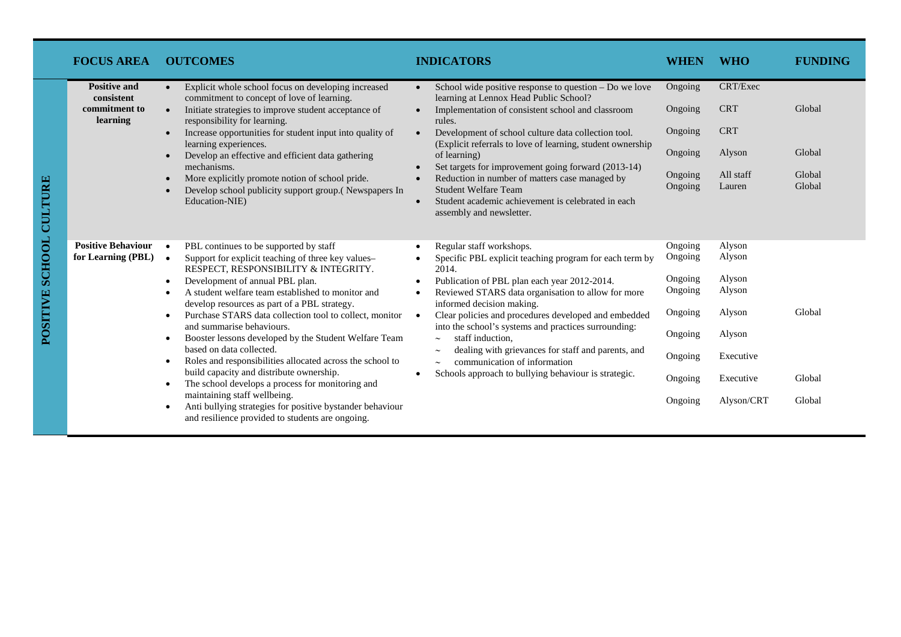| <b>FOCUS AREA</b>                                              | <b>OUTCOMES</b>                                                                                                                                                                                                                                                                                                                                                                                                                                                                                                                                                                                                                                                                                                                                                                                                             | <b>INDICATORS</b>                                                                                                                                                                                                                                                                                                                                                                                                                                                                                                                                        | WHEN                                                                                            | <b>WHO</b>                                                                                       | <b>FUNDING</b>                       |
|----------------------------------------------------------------|-----------------------------------------------------------------------------------------------------------------------------------------------------------------------------------------------------------------------------------------------------------------------------------------------------------------------------------------------------------------------------------------------------------------------------------------------------------------------------------------------------------------------------------------------------------------------------------------------------------------------------------------------------------------------------------------------------------------------------------------------------------------------------------------------------------------------------|----------------------------------------------------------------------------------------------------------------------------------------------------------------------------------------------------------------------------------------------------------------------------------------------------------------------------------------------------------------------------------------------------------------------------------------------------------------------------------------------------------------------------------------------------------|-------------------------------------------------------------------------------------------------|--------------------------------------------------------------------------------------------------|--------------------------------------|
| <b>Positive and</b><br>consistent<br>commitment to<br>learning | Explicit whole school focus on developing increased<br>commitment to concept of love of learning.<br>Initiate strategies to improve student acceptance of<br>responsibility for learning.<br>Increase opportunities for student input into quality of<br>learning experiences.<br>Develop an effective and efficient data gathering<br>$\bullet$<br>mechanisms.<br>More explicitly promote notion of school pride.<br>Develop school publicity support group. (Newspapers In<br>Education-NIE)                                                                                                                                                                                                                                                                                                                              | School wide positive response to question – Do we love<br>$\bullet$<br>learning at Lennox Head Public School?<br>Implementation of consistent school and classroom<br>rules.<br>Development of school culture data collection tool.<br>$\bullet$<br>(Explicit referrals to love of learning, student ownership<br>of learning)<br>Set targets for improvement going forward (2013-14)<br>Reduction in number of matters case managed by<br><b>Student Welfare Team</b><br>Student academic achievement is celebrated in each<br>assembly and newsletter. | Ongoing<br>Ongoing<br>Ongoing<br>Ongoing<br>Ongoing<br>Ongoing                                  | CRT/Exec<br><b>CRT</b><br><b>CRT</b><br>Alyson<br>All staff<br>Lauren                            | Global<br>Global<br>Global<br>Global |
| <b>Positive Behaviour</b><br>for Learning (PBL)                | PBL continues to be supported by staff<br>Support for explicit teaching of three key values-<br>RESPECT, RESPONSIBILITY & INTEGRITY.<br>Development of annual PBL plan.<br>A student welfare team established to monitor and<br>develop resources as part of a PBL strategy.<br>Purchase STARS data collection tool to collect, monitor<br>$\bullet$<br>and summarise behaviours.<br>Booster lessons developed by the Student Welfare Team<br>$\bullet$<br>based on data collected.<br>Roles and responsibilities allocated across the school to<br>$\bullet$<br>build capacity and distribute ownership.<br>The school develops a process for monitoring and<br>$\bullet$<br>maintaining staff wellbeing.<br>Anti bullying strategies for positive bystander behaviour<br>and resilience provided to students are ongoing. | Regular staff workshops.<br>Specific PBL explicit teaching program for each term by<br>2014.<br>Publication of PBL plan each year 2012-2014.<br>$\bullet$<br>Reviewed STARS data organisation to allow for more<br>informed decision making.<br>Clear policies and procedures developed and embedded<br>into the school's systems and practices surrounding:<br>staff induction.<br>$\sim$<br>dealing with grievances for staff and parents, and<br>communication of information<br>$\sim$<br>Schools approach to bullying behaviour is strategic.       | Ongoing<br>Ongoing<br>Ongoing<br>Ongoing<br>Ongoing<br>Ongoing<br>Ongoing<br>Ongoing<br>Ongoing | Alyson<br>Alyson<br>Alyson<br>Alyson<br>Alyson<br>Alyson<br>Executive<br>Executive<br>Alyson/CRT | Global<br>Global<br>Global           |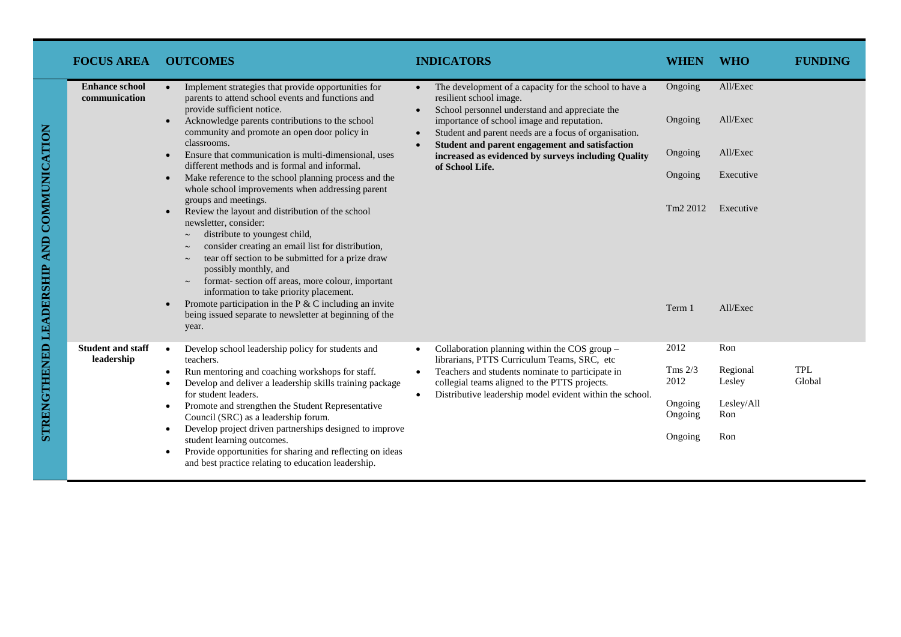| <b>FOCUS AREA</b>                                                                                                                             | <b>OUTCOMES</b>                                                                                                                                                                                                                                                                                                                                                                                                                                                                                                                                | <b>INDICATORS</b>                                                                                                                                                                                                                                                                                                                                                                   | <b>WHEN</b>                                     | <b>WHO</b>                                     | <b>FUNDING</b>       |
|-----------------------------------------------------------------------------------------------------------------------------------------------|------------------------------------------------------------------------------------------------------------------------------------------------------------------------------------------------------------------------------------------------------------------------------------------------------------------------------------------------------------------------------------------------------------------------------------------------------------------------------------------------------------------------------------------------|-------------------------------------------------------------------------------------------------------------------------------------------------------------------------------------------------------------------------------------------------------------------------------------------------------------------------------------------------------------------------------------|-------------------------------------------------|------------------------------------------------|----------------------|
| <b>Enhance school</b><br>communication                                                                                                        | Implement strategies that provide opportunities for<br>$\bullet$<br>parents to attend school events and functions and<br>provide sufficient notice.<br>Acknowledge parents contributions to the school                                                                                                                                                                                                                                                                                                                                         | The development of a capacity for the school to have a<br>$\bullet$<br>resilient school image.<br>School personnel understand and appreciate the<br>importance of school image and reputation.<br>Student and parent needs are a focus of organisation.<br>Student and parent engagement and satisfaction<br>increased as evidenced by surveys including Quality<br>of School Life. | Ongoing<br>Ongoing                              | All/Exec<br>All/Exec                           |                      |
| classrooms.<br>$\bullet$<br>$\bullet$<br>groups and meetings.<br>newsletter, consider:<br>$\sim$<br>$\sim$<br>$\sim$<br>possibly monthly, and | community and promote an open door policy in<br>Ensure that communication is multi-dimensional, uses<br>different methods and is formal and informal.<br>Make reference to the school planning process and the                                                                                                                                                                                                                                                                                                                                 |                                                                                                                                                                                                                                                                                                                                                                                     | Ongoing<br>Ongoing                              | All/Exec<br>Executive                          |                      |
|                                                                                                                                               | whole school improvements when addressing parent<br>Review the layout and distribution of the school<br>distribute to youngest child,<br>consider creating an email list for distribution,<br>tear off section to be submitted for a prize draw<br>format-section off areas, more colour, important<br>information to take priority placement.<br>Promote participation in the $P \& C$ including an invite<br>being issued separate to newsletter at beginning of the                                                                         |                                                                                                                                                                                                                                                                                                                                                                                     | Tm <sub>2</sub> 2012<br>Term 1                  | Executive<br>All/Exec                          |                      |
|                                                                                                                                               | year.                                                                                                                                                                                                                                                                                                                                                                                                                                                                                                                                          |                                                                                                                                                                                                                                                                                                                                                                                     |                                                 |                                                |                      |
| <b>Student and staff</b><br>leadership                                                                                                        | Develop school leadership policy for students and<br>teachers.<br>Run mentoring and coaching workshops for staff.<br>Develop and deliver a leadership skills training package<br>$\bullet$<br>for student leaders.<br>Promote and strengthen the Student Representative<br>٠<br>Council (SRC) as a leadership forum.<br>Develop project driven partnerships designed to improve<br>$\bullet$<br>student learning outcomes.<br>Provide opportunities for sharing and reflecting on ideas<br>and best practice relating to education leadership. | Collaboration planning within the COS group -<br>librarians, PTTS Curriculum Teams, SRC, etc<br>Teachers and students nominate to participate in<br>$\bullet$<br>collegial teams aligned to the PTTS projects.<br>Distributive leadership model evident within the school.                                                                                                          | 2012<br>Tms $2/3$<br>2012<br>Ongoing<br>Ongoing | Ron<br>Regional<br>Lesley<br>Lesley/All<br>Ron | <b>TPL</b><br>Global |
|                                                                                                                                               |                                                                                                                                                                                                                                                                                                                                                                                                                                                                                                                                                |                                                                                                                                                                                                                                                                                                                                                                                     | Ongoing                                         | Ron                                            |                      |